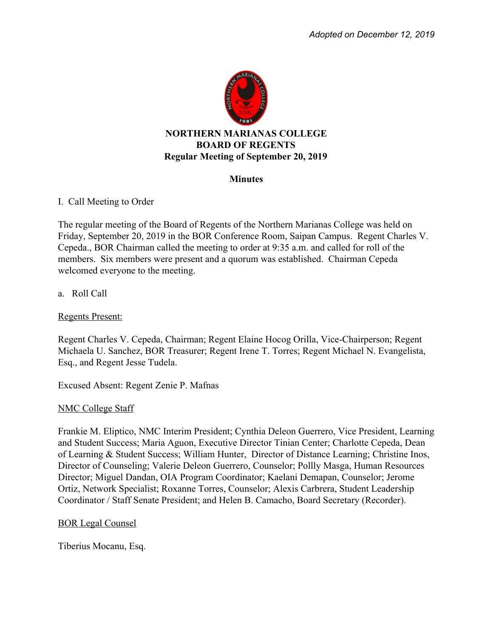

## **Minutes**

# I. Call Meeting to Order

The regular meeting of the Board of Regents of the Northern Marianas College was held on Friday, September 20, 2019 in the BOR Conference Room, Saipan Campus. Regent Charles V. Cepeda., BOR Chairman called the meeting to order at 9:35 a.m. and called for roll of the members. Six members were present and a quorum was established. Chairman Cepeda welcomed everyone to the meeting.

# a. Roll Call

## Regents Present:

Regent Charles V. Cepeda, Chairman; Regent Elaine Hocog Orilla, Vice-Chairperson; Regent Michaela U. Sanchez, BOR Treasurer; Regent Irene T. Torres; Regent Michael N. Evangelista, Esq., and Regent Jesse Tudela.

Excused Absent: Regent Zenie P. Mafnas

## NMC College Staff

Frankie M. Eliptico, NMC Interim President; Cynthia Deleon Guerrero, Vice President, Learning and Student Success; Maria Aguon, Executive Director Tinian Center; Charlotte Cepeda, Dean of Learning & Student Success; William Hunter, Director of Distance Learning; Christine Inos, Director of Counseling; Valerie Deleon Guerrero, Counselor; Pollly Masga, Human Resources Director; Miguel Dandan, OIA Program Coordinator; Kaelani Demapan, Counselor; Jerome Ortiz, Network Specialist; Roxanne Torres, Counselor; Alexis Carbrera, Student Leadership Coordinator / Staff Senate President; and Helen B. Camacho, Board Secretary (Recorder).

## BOR Legal Counsel

Tiberius Mocanu, Esq.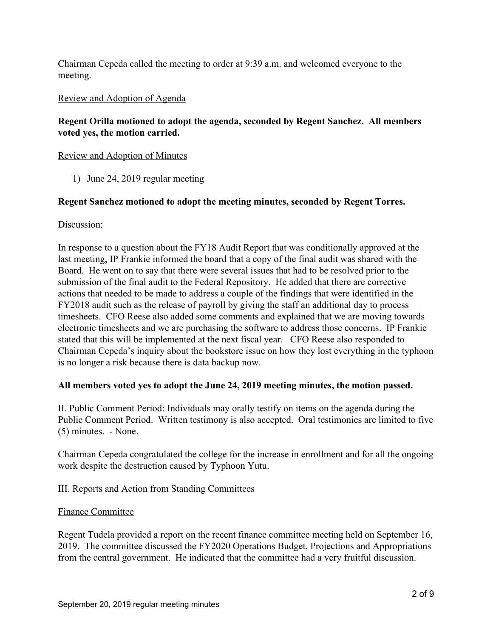Chairman Cepeda called the meeting to order at 9:39 a.m. and welcomed everyone to the meeting.

## Review and Adoption of Agenda

# **Regent Orilla motioned to adopt the agenda, seconded by Regent Sanchez. All members voted yes, the motion carried.**

## Review and Adoption of Minutes

1) June 24, 2019 regular meeting

## **Regent Sanchez motioned to adopt the meeting minutes, seconded by Regent Torres.**

## Discussion:

In response to a question about the FY18 Audit Report that was conditionally approved at the last meeting, IP Frankie informed the board that a copy of the final audit was shared with the Board.He went on to say that there were several issues that had to be resolved prior to the submission of the final audit to the Federal Repository. He added that there are corrective actions that needed to be made to address a couple of the findings that were identified in the FY2018 audit such as the release of payroll by giving the staff an additional day to process timesheets. CFO Reese also added some comments and explained that we are moving towards electronic timesheets and we are purchasing the software to address those concerns. IP Frankie stated that this will be implemented at the next fiscal year. CFO Reese also responded to Chairman Cepeda's inquiry about the bookstore issue on how they lost everything in the typhoon is no longer a risk because there is data backup now.

## **All members voted yes to adopt the June 24, 2019 meeting minutes, the motion passed.**

II. Public Comment Period: Individuals may orally testify on items on the agenda during the Public Comment Period. Written testimony is also accepted. Oral testimonies are limited to five (5) minutes. - None.

Chairman Cepeda congratulated the college for the increase in enrollment and for all the ongoing work despite the destruction caused by Typhoon Yutu.

III. Reports and Action from Standing Committees

## Finance Committee

Regent Tudela provided a report on the recent finance committee meeting held on September 16, 2019. The committee discussed the FY2020 Operations Budget, Projections and Appropriations from the central government. He indicated that the committee had a very fruitful discussion.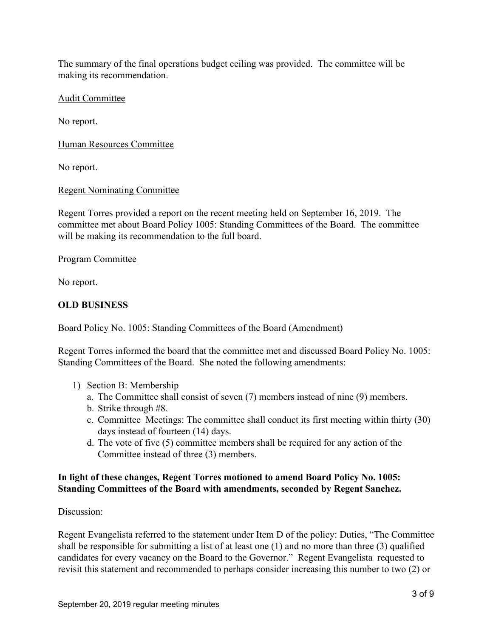The summary of the final operations budget ceiling was provided. The committee will be making its recommendation.

Audit Committee

No report.

Human Resources Committee

No report.

# Regent Nominating Committee

Regent Torres provided a report on the recent meeting held on September 16, 2019. The committee met about Board Policy 1005: Standing Committees of the Board. The committee will be making its recommendation to the full board.

# Program Committee

No report.

# **OLD BUSINESS**

# Board Policy No. 1005: Standing Committees of the Board (Amendment)

Regent Torres informed the board that the committee met and discussed Board Policy No. 1005: Standing Committees of the Board. She noted the following amendments:

- 1) Section B: Membership
	- a. The Committee shall consist of seven (7) members instead of nine (9) members.
	- b. Strike through #8.
	- c. Committee Meetings: The committee shall conduct its first meeting within thirty (30) days instead of fourteen (14) days.
	- d. The vote of five (5) committee members shall be required for any action of the Committee instead of three (3) members.

# **In light of these changes, Regent Torres motioned to amend Board Policy No. 1005: Standing Committees of the Board with amendments, seconded by Regent Sanchez.**

Discussion:

Regent Evangelista referred to the statement under Item D of the policy: Duties, "The Committee shall be responsible for submitting a list of at least one (1) and no more than three (3) qualified candidates for every vacancy on the Board to the Governor." Regent Evangelista requested to revisit this statement and recommended to perhaps consider increasing this number to two (2) or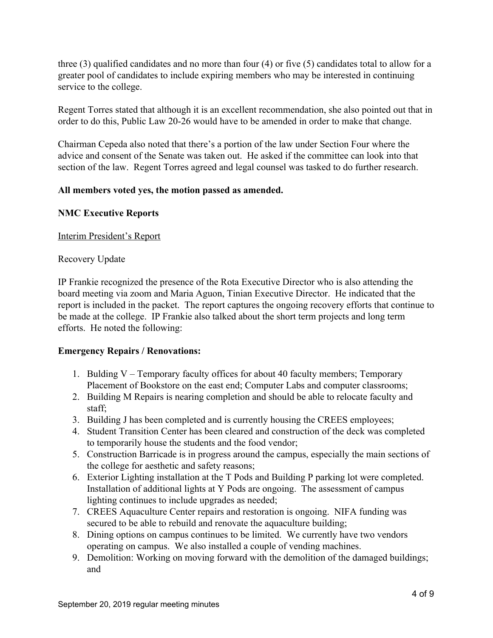three (3) qualified candidates and no more than four (4) or five (5) candidates total to allow for a greater pool of candidates to include expiring members who may be interested in continuing service to the college.

Regent Torres stated that although it is an excellent recommendation, she also pointed out that in order to do this, Public Law 20-26 would have to be amended in order to make that change.

Chairman Cepeda also noted that there's a portion of the law under Section Four where the advice and consent of the Senate was taken out. He asked if the committee can look into that section of the law. Regent Torres agreed and legal counsel was tasked to do further research.

# **All members voted yes, the motion passed as amended.**

## **NMC Executive Reports**

## Interim President's Report

## Recovery Update

IP Frankie recognized the presence of the Rota Executive Director who is also attending the board meeting via zoom and Maria Aguon, Tinian Executive Director. He indicated that the report is included in the packet. The report captures the ongoing recovery efforts that continue to be made at the college. IP Frankie also talked about the short term projects and long term efforts. He noted the following:

## **Emergency Repairs / Renovations:**

- 1. Bulding V Temporary faculty offices for about 40 faculty members; Temporary Placement of Bookstore on the east end; Computer Labs and computer classrooms;
- 2. Building M Repairs is nearing completion and should be able to relocate faculty and staff;
- 3. Building J has been completed and is currently housing the CREES employees;
- 4. Student Transition Center has been cleared and construction of the deck was completed to temporarily house the students and the food vendor;
- 5. Construction Barricade is in progress around the campus, especially the main sections of the college for aesthetic and safety reasons;
- 6. Exterior Lighting installation at the T Pods and Building P parking lot were completed. Installation of additional lights at Y Pods are ongoing. The assessment of campus lighting continues to include upgrades as needed;
- 7. CREES Aquaculture Center repairs and restoration is ongoing. NIFA funding was secured to be able to rebuild and renovate the aquaculture building;
- 8. Dining options on campus continues to be limited. We currently have two vendors operating on campus. We also installed a couple of vending machines.
- 9. Demolition: Working on moving forward with the demolition of the damaged buildings; and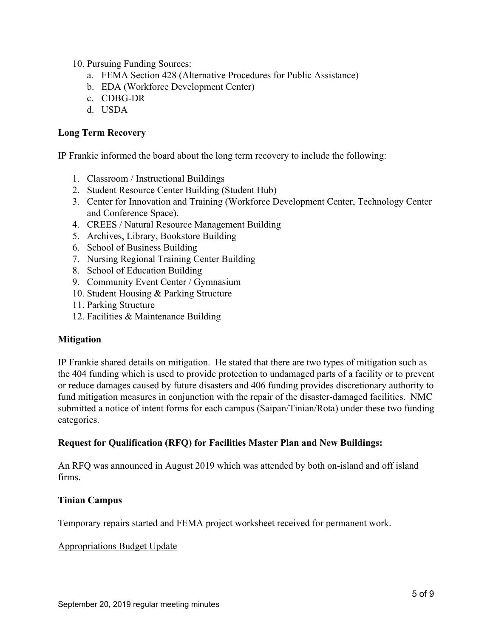- 10. Pursuing Funding Sources:
	- a. FEMA Section 428 (Alternative Procedures for Public Assistance)
	- b. EDA (Workforce Development Center)
	- c. CDBG-DR
	- d. USDA

## **Long Term Recovery**

IP Frankie informed the board about the long term recovery to include the following:

- 1. Classroom / Instructional Buildings
- 2. Student Resource Center Building (Student Hub)
- 3. Center for Innovation and Training (Workforce Development Center, Technology Center and Conference Space).
- 4. CREES / Natural Resource Management Building
- 5. Archives, Library, Bookstore Building
- 6. School of Business Building
- 7. Nursing Regional Training Center Building
- 8. School of Education Building
- 9. Community Event Center / Gymnasium
- 10. Student Housing & Parking Structure
- 11. Parking Structure
- 12. Facilities & Maintenance Building

## **Mitigation**

IP Frankie shared details on mitigation. He stated that there are two types of mitigation such as the 404 funding which is used to provide protection to undamaged parts of a facility or to prevent or reduce damages caused by future disasters and 406 funding provides discretionary authority to fund mitigation measures in conjunction with the repair of the disaster-damaged facilities. NMC submitted a notice of intent forms for each campus (Saipan/Tinian/Rota) under these two funding categories.

# **Request for Qualification (RFQ) for Facilities Master Plan and New Buildings:**

An RFQ was announced in August 2019 which was attended by both on-island and off island firms.

## **Tinian Campus**

Temporary repairs started and FEMA project worksheet received for permanent work.

## Appropriations Budget Update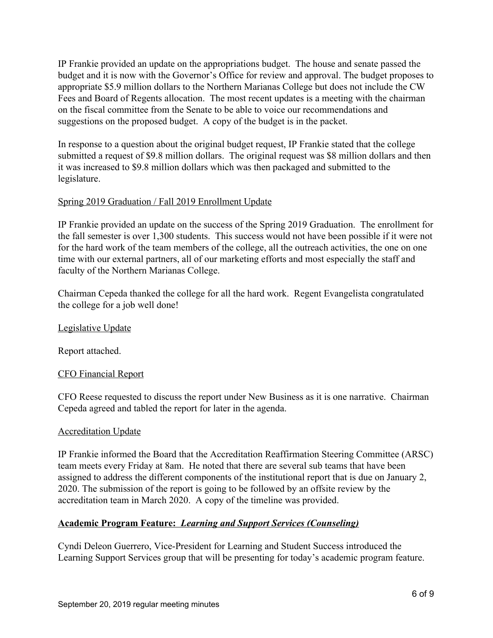IP Frankie provided an update on the appropriations budget. The house and senate passed the budget and it is now with the Governor's Office for review and approval. The budget proposes to appropriate \$5.9 million dollars to the Northern Marianas College but does not include the CW Fees and Board of Regents allocation. The most recent updates is a meeting with the chairman on the fiscal committee from the Senate to be able to voice our recommendations and suggestions on the proposed budget. A copy of the budget is in the packet.

In response to a question about the original budget request, IP Frankie stated that the college submitted a request of \$9.8 million dollars. The original request was \$8 million dollars and then it was increased to \$9.8 million dollars which was then packaged and submitted to the legislature.

# Spring 2019 Graduation / Fall 2019 Enrollment Update

IP Frankie provided an update on the success of the Spring 2019 Graduation. The enrollment for the fall semester is over 1,300 students. This success would not have been possible if it were not for the hard work of the team members of the college, all the outreach activities, the one on one time with our external partners, all of our marketing efforts and most especially the staff and faculty of the Northern Marianas College.

Chairman Cepeda thanked the college for all the hard work. Regent Evangelista congratulated the college for a job well done!

# Legislative Update

Report attached.

# CFO Financial Report

CFO Reese requested to discuss the report under New Business as it is one narrative. Chairman Cepeda agreed and tabled the report for later in the agenda.

# Accreditation Update

IP Frankie informed the Board that the Accreditation Reaffirmation Steering Committee (ARSC) team meets every Friday at 8am. He noted that there are several sub teams that have been assigned to address the different components of the institutional report that is due on January 2, 2020. The submission of the report is going to be followed by an offsite review by the accreditation team in March 2020. A copy of the timeline was provided.

# **Academic Program Feature:** *Learning and Support Services (Counseling)*

Cyndi Deleon Guerrero, Vice-President for Learning and Student Success introduced the Learning Support Services group that will be presenting for today's academic program feature.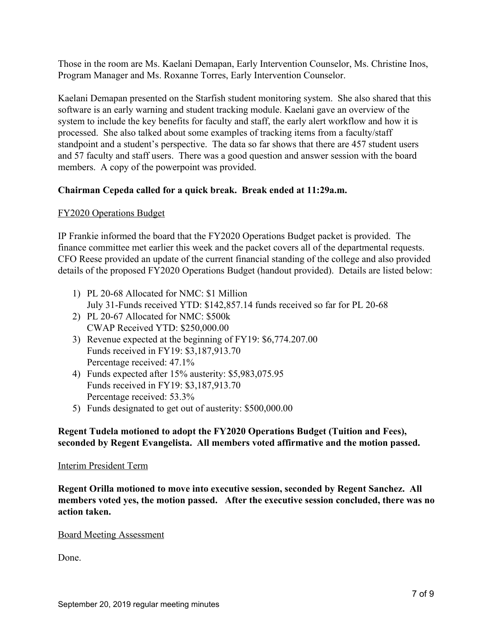Those in the room are Ms. Kaelani Demapan, Early Intervention Counselor, Ms. Christine Inos, Program Manager and Ms. Roxanne Torres, Early Intervention Counselor.

Kaelani Demapan presented on the Starfish student monitoring system. She also shared that this software is an early warning and student tracking module. Kaelani gave an overview of the system to include the key benefits for faculty and staff, the early alert workflow and how it is processed. She also talked about some examples of tracking items from a faculty/staff standpoint and a student's perspective. The data so far shows that there are 457 student users and 57 faculty and staff users. There was a good question and answer session with the board members. A copy of the powerpoint was provided.

## **Chairman Cepeda called for a quick break. Break ended at 11:29a.m.**

## FY2020 Operations Budget

IP Frankie informed the board that the FY2020 Operations Budget packet is provided. The finance committee met earlier this week and the packet covers all of the departmental requests. CFO Reese provided an update of the current financial standing of the college and also provided details of the proposed FY2020 Operations Budget (handout provided). Details are listed below:

- 1) PL 20-68 Allocated for NMC: \$1 Million July 31-Funds received YTD: \$142,857.14 funds received so far for PL 20-68
- 2) PL 20-67 Allocated for NMC: \$500k CWAP Received YTD: \$250,000.00
- 3) Revenue expected at the beginning of FY19: \$6,774.207.00 Funds received in FY19: \$3,187,913.70 Percentage received: 47.1%
- 4) Funds expected after 15% austerity: \$5,983,075.95 Funds received in FY19: \$3,187,913.70 Percentage received: 53.3%
- 5) Funds designated to get out of austerity: \$500,000.00

# **Regent Tudela motioned to adopt the FY2020 Operations Budget (Tuition and Fees), seconded by Regent Evangelista. All members voted affirmative and the motion passed.**

## Interim President Term

**Regent Orilla motioned to move into executive session, seconded by Regent Sanchez. All members voted yes, the motion passed. After the executive session concluded, there was no action taken.**

## Board Meeting Assessment

Done.